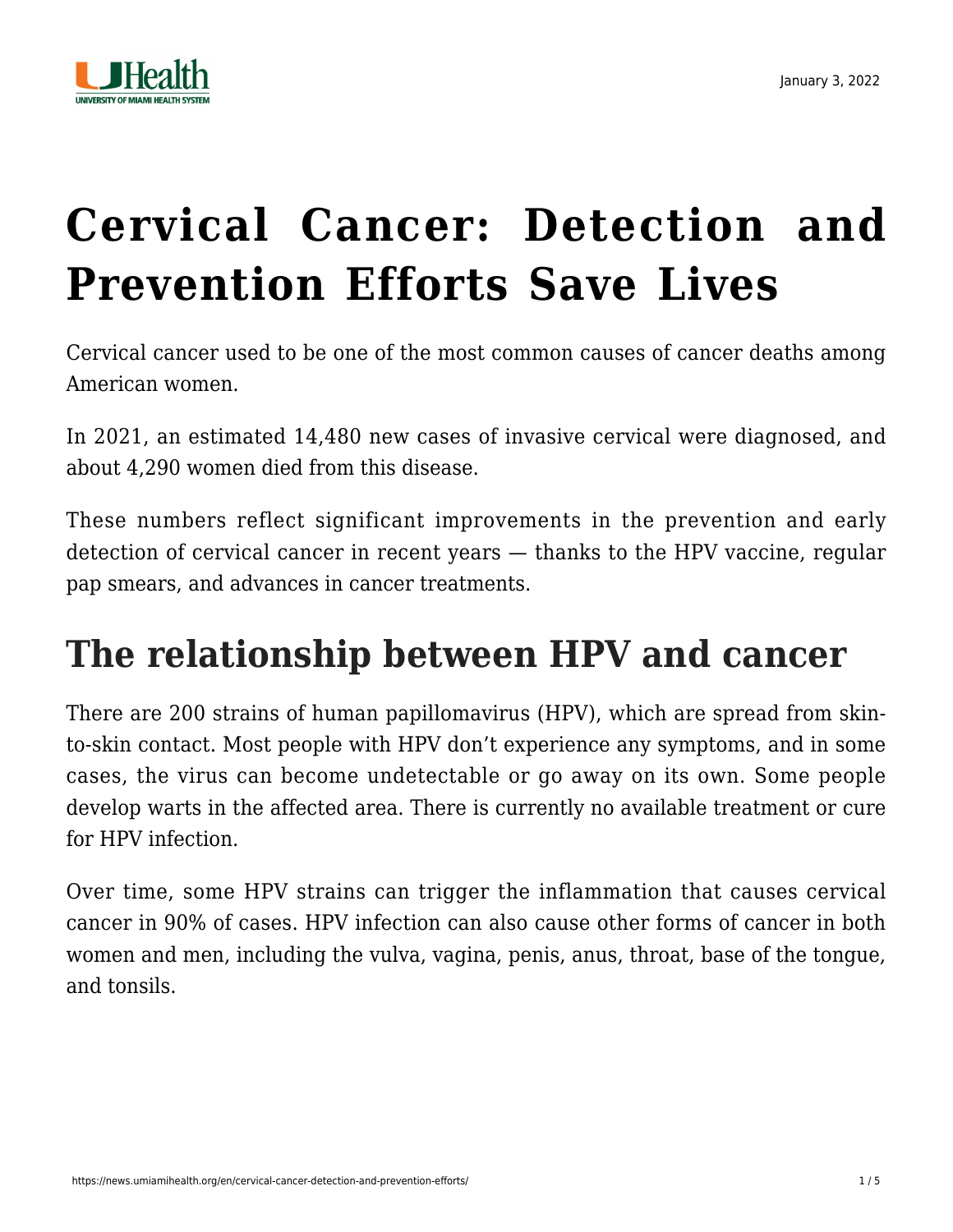

# **[Cervical Cancer: Detection and](https://news.umiamihealth.org/en/cervical-cancer-detection-and-prevention-efforts/) [Prevention Efforts Save Lives](https://news.umiamihealth.org/en/cervical-cancer-detection-and-prevention-efforts/)**

Cervical cancer used to be one of the most common causes of cancer deaths among American women.

In 2021, an estimated [14,480 new cases](https://cancerstatisticscenter.cancer.org/#!/cancer-site/Cervix) of invasive cervical were diagnosed, and about [4,290 women](https://cancerstatisticscenter.cancer.org/#!/cancer-site/Cervix) died from this disease.

These numbers reflect significant improvements in the prevention and early detection of [cervical cancer](https://news.umiamihealth.org/en/innovative-treatments-for-women-with-cervical-cancer/) in recent years — thanks to the HPV vaccine, regular pap smears, and advances in cancer treatments.

# **The relationship between HPV and cancer**

There are 200 strains of human papillomavirus (HPV), which are spread from skinto-skin contact. Most people with HPV don't experience any symptoms, and in some cases, the virus can become undetectable or go away on its own. Some people develop warts in the affected area. There is currently no available treatment or cure for HPV infection.

Over time, some HPV strains can trigger the inflammation that causes cervical cancer in [90% of cases.](https://www.cancer.org/cancer/cervical-cancer/about/new-research.html) HPV infection can also cause other forms of cancer in both women and men, including the vulva, vagina, penis, anus, throat, base of the tongue, and tonsils.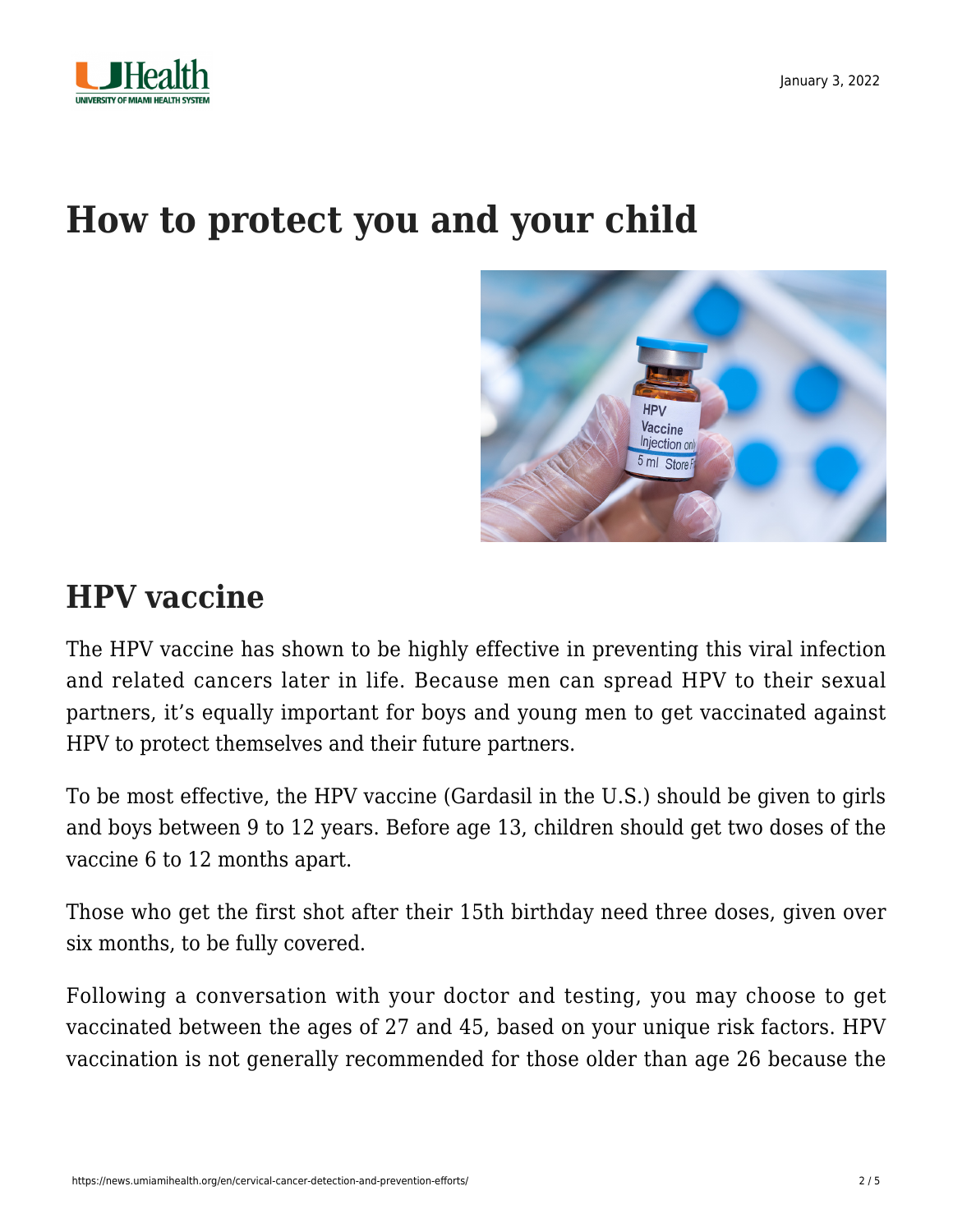



### **How to protect you and your child**



#### **HPV vaccine**

The HPV vaccine has shown to be highly effective in preventing this viral infection and related cancers later in life. Because men can spread HPV to their sexual partners, it's equally important for boys and young men to get vaccinated against HPV to protect themselves and their future partners.

To be most effective, the HPV vaccine (Gardasil in the U.S.) should be given to girls and boys between 9 to 12 years. Before age 13, children should get two doses of the vaccine 6 to 12 months apart.

Those who get the first shot after their 15th birthday need three doses, given over six months, to be fully covered.

Following a conversation with your doctor and testing, you may choose to get vaccinated between the ages of 27 and 45, based on your unique risk factors. HPV vaccination is not generally recommended for those older than age 26 because the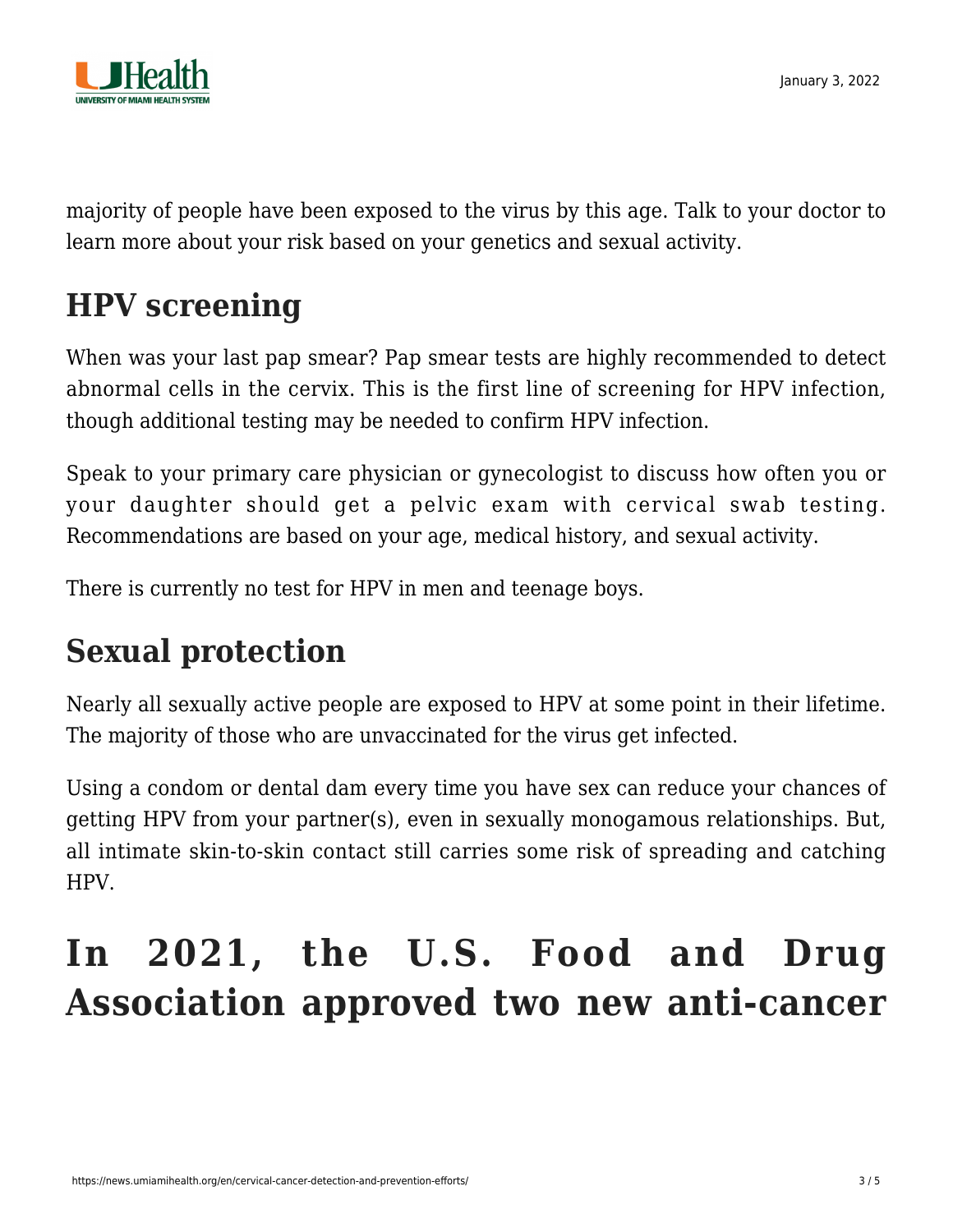

majority of people have been exposed to the virus by this age. Talk to your doctor to learn more about your risk based on your genetics and sexual activity.

#### **HPV screening**

When was your last pap smear? Pap smear tests are highly recommended to detect abnormal cells in the cervix. This is the first line of screening for HPV infection, though additional testing may be needed to confirm HPV infection.

Speak to your primary care physician or gynecologist to discuss how often you or your daughter should get a pelvic exam with cervical swab testing. Recommendations are based on your age, medical history, and sexual activity.

There is currently no test for HPV in men and teenage boys.

#### **Sexual protection**

[Nearly all sexually active people](https://www.cdc.gov/std/hpv/stdfact-hpv-and-men.htm) are exposed to HPV at some point in their lifetime. The majority of those who are unvaccinated for the virus get infected.

Using a condom or dental dam every time you have sex can reduce your chances of getting HPV from your partner(s), even in sexually monogamous relationships. But, all intimate skin-to-skin contact still carries some risk of spreading and catching HPV.

# **In 2021, the U.S. Food and Drug Association approved two new anti-cancer**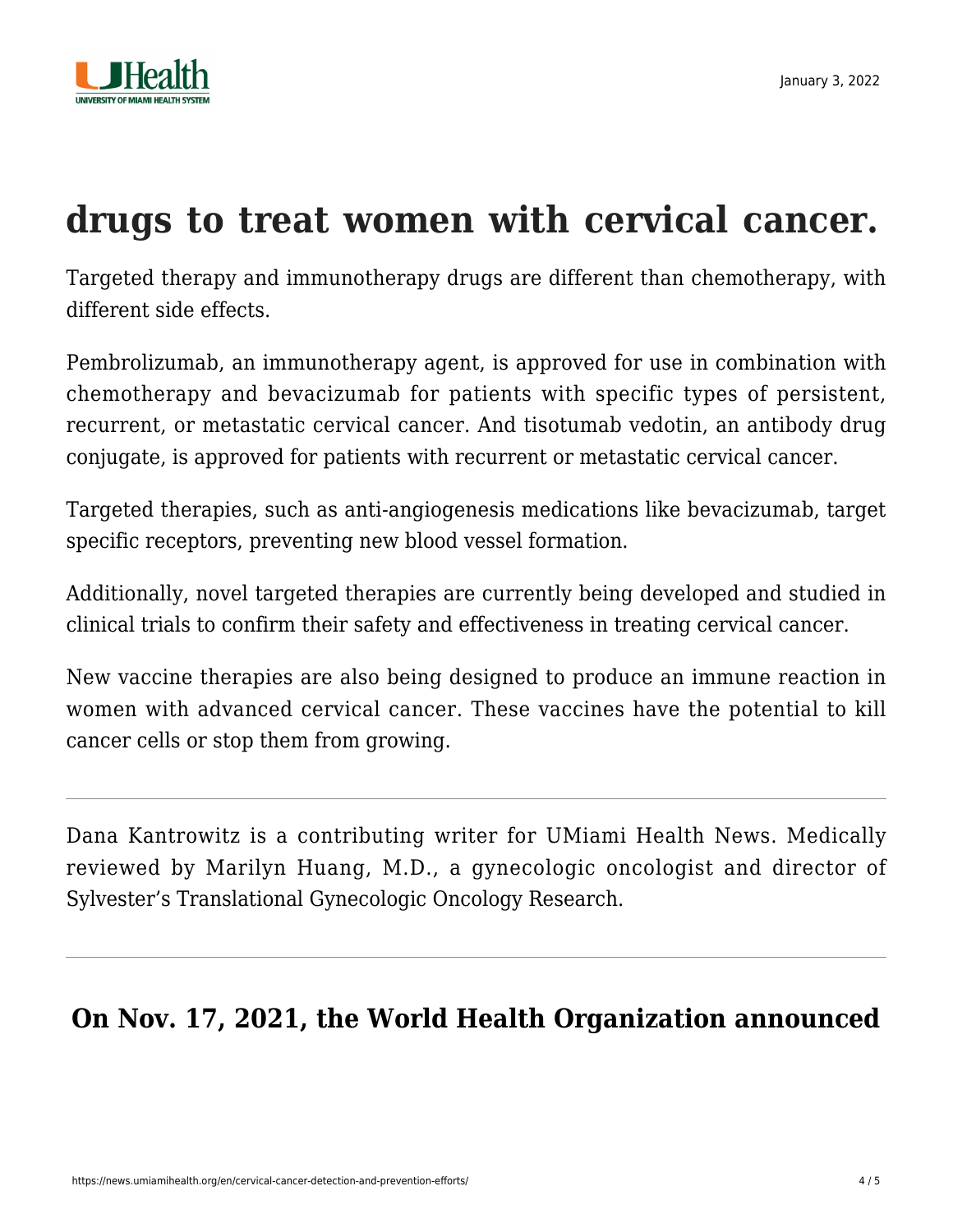

## **drugs to treat women with cervical cancer.**

Targeted therapy and immunotherapy drugs are different than chemotherapy, with different side effects.

Pembrolizumab, an immunotherapy agent, is approved for use in combination with chemotherapy and bevacizumab for patients with specific types of persistent, recurrent, or metastatic cervical cancer. And tisotumab vedotin, an antibody drug conjugate, is approved for patients with recurrent or metastatic cervical cancer.

Targeted therapies, such as anti-angiogenesis medications like bevacizumab, target specific receptors, preventing new blood vessel formation.

Additionally, novel targeted therapies are currently being developed and studied in clinical trials to confirm their safety and effectiveness in treating cervical cancer.

New vaccine therapies are also being designed to produce an immune reaction in women with advanced cervical cancer. These vaccines have the potential to kill cancer cells or stop them from growing.

Dana Kantrowitz is a contributing writer for UMiami Health News. Medically reviewed by [Marilyn Huang, M.D.,](https://sylvester-doctors.umiamihealth.org/provider/Marilyn+Huang/525519) a gynecologic oncologist and director of Sylvester's Translational Gynecologic Oncology Research.

**On Nov. 17, 2021, the World Health Organization announced**